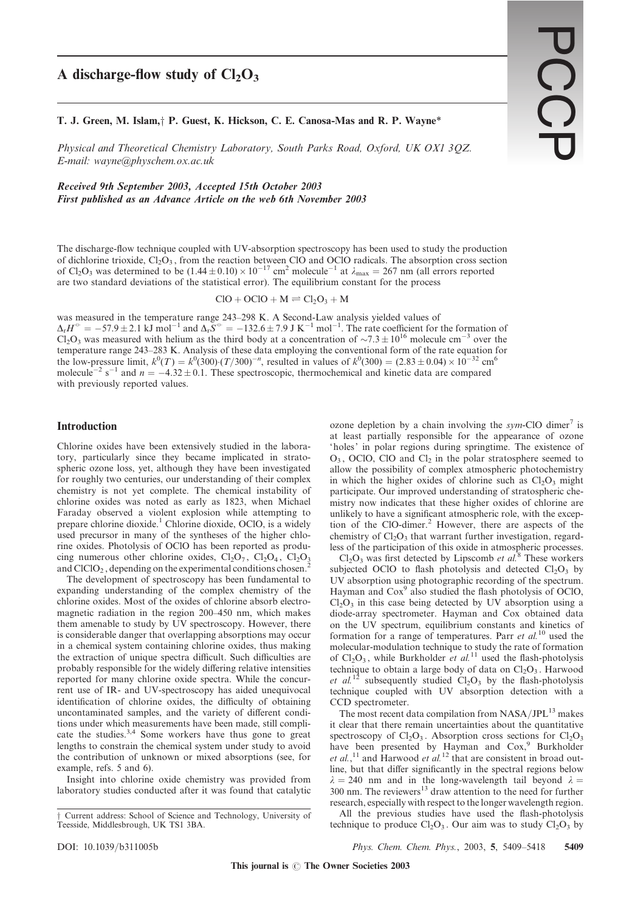# A discharge-flow study of  $Cl<sub>2</sub>O<sub>3</sub>$

T. J. Green, M. Islam, P. Guest, K. Hickson, C. E. Canosa-Mas and R. P. Wayne\*

Physical and Theoretical Chemistry Laboratory, South Parks Road, Oxford, UK OX1 3QZ. E-mail: wayne@physchem.ox.ac.uk

Received 9th September 2003, Accepted 15th October 2003 First published as an Advance Article on the web 6th November 2003

The discharge-flow technique coupled with UV-absorption spectroscopy has been used to study the production of dichlorine trioxide,  $Cl<sub>2</sub>O<sub>3</sub>$ , from the reaction between ClO and OClO radicals. The absorption cross section of Cl<sub>2</sub>O<sub>3</sub> was determined to be  $(1.44 \pm 0.10) \times 10^{-17}$  cm<sup>2</sup> molecule<sup>-1</sup> at  $\lambda_{\text{max}} = 267$  nm (all errors reported are two standard deviations of the statistical error). The equilibrium constant for the process

 $ClO + OClO + M \rightleftharpoons Cl<sub>2</sub>O<sub>3</sub> + M$ 

was measured in the temperature range 243–298 K. A Second-Law analysis yielded values of  $\Delta_{\rm r}H^{\circ} = -57.9 \pm 2.1$  kJ mol<sup>-1</sup> and  $\Delta_{\rm r}S^{\circ} = -132.6 \pm 7.9$  J K<sup>-1</sup> mol<sup>-1</sup>. The rate coefficient for the formation of  $Cl_2O_3$  was measured with helium as the third body at a concentration of  $\sim 7.3 \pm 10^{16}$  molecule cm<sup>-3</sup> over the temperature range 243–283 K. Analysis of these data employing the conventional form of the rate equation for the low-pressure limit,  $k^0(T) = k^0(300) (T/300)^{-n}$ , resulted in values of  $k^0(300) = (2.83 \pm 0.04) \times 10^{-32}$  cm<sup>6</sup> molecule<sup>-2</sup> s<sup>-1</sup> and  $n = -4.32 \pm 0.1$ . These spectroscopic, thermochemical and kinetic data are compared with previously reported values.

# Introduction

Chlorine oxides have been extensively studied in the laboratory, particularly since they became implicated in stratospheric ozone loss, yet, although they have been investigated for roughly two centuries, our understanding of their complex chemistry is not yet complete. The chemical instability of chlorine oxides was noted as early as 1823, when Michael Faraday observed a violent explosion while attempting to prepare chlorine dioxide.<sup>1</sup> Chlorine dioxide, OClO, is a widely used precursor in many of the syntheses of the higher chlorine oxides. Photolysis of OClO has been reported as producing numerous other chlorine oxides,  $Cl_2O_7$ ,  $Cl_2O_4$ ,  $Cl_2O_3$ and  $CICIO<sub>2</sub>$ , depending on the experimental conditions chosen.<sup>2</sup>

The development of spectroscopy has been fundamental to expanding understanding of the complex chemistry of the chlorine oxides. Most of the oxides of chlorine absorb electromagnetic radiation in the region 200–450 nm, which makes them amenable to study by UV spectroscopy. However, there is considerable danger that overlapping absorptions may occur in a chemical system containing chlorine oxides, thus making the extraction of unique spectra difficult. Such difficulties are probably responsible for the widely differing relative intensities reported for many chlorine oxide spectra. While the concurrent use of IR- and UV-spectroscopy has aided unequivocal identification of chlorine oxides, the difficulty of obtaining uncontaminated samples, and the variety of different conditions under which measurements have been made, still complicate the studies.<sup>3,4</sup> Some workers have thus gone to great lengths to constrain the chemical system under study to avoid the contribution of unknown or mixed absorptions (see, for example, refs. 5 and 6).

Insight into chlorine oxide chemistry was provided from laboratory studies conducted after it was found that catalytic

ozone depletion by a chain involving the sym-ClO dimer<sup>7</sup> is at least partially responsible for the appearance of ozone 'holes' in polar regions during springtime. The existence of  $O_3$ , OClO, ClO and Cl<sub>2</sub> in the polar stratosphere seemed to allow the possibility of complex atmospheric photochemistry in which the higher oxides of chlorine such as  $Cl_2O_3$  might participate. Our improved understanding of stratospheric chemistry now indicates that these higher oxides of chlorine are unlikely to have a significant atmospheric role, with the exception of the ClO-dimer.<sup>2</sup> However, there are aspects of the chemistry of  $Cl<sub>2</sub>O<sub>3</sub>$  that warrant further investigation, regardless of the participation of this oxide in atmospheric processes.

 $Cl<sub>2</sub>O<sub>3</sub>$  was first detected by Lipscomb et al.<sup>8</sup> These workers subjected OClO to flash photolysis and detected  $Cl<sub>2</sub>O<sub>3</sub>$  by UV absorption using photographic recording of the spectrum. Hayman and  $\text{Cox}^9$  also studied the flash photolysis of OClO,  $Cl<sub>2</sub>O<sub>3</sub>$  in this case being detected by UV absorption using a diode-array spectrometer. Hayman and Cox obtained data on the UV spectrum, equilibrium constants and kinetics of formation for a range of temperatures. Parr et  $al$ <sup>10</sup> used the molecular-modulation technique to study the rate of formation of  $Cl_2O_3$ , while Burkholder *et al.*<sup>11</sup> used the flash-photolysis technique to obtain a large body of data on  $Cl<sub>2</sub>O<sub>3</sub>$ . Harwood et al.<sup>12</sup> subsequently studied  $Cl_2O_3$  by the flash-photolysis technique coupled with UV absorption detection with a CCD spectrometer.

The most recent data compilation from NASA/JPL<sup>13</sup> makes it clear that there remain uncertainties about the quantitative spectroscopy of  $Cl_2O_3$ . Absorption cross sections for  $Cl_2O_3$ have been presented by Hayman and Cox,<sup>9</sup> Burkholder et al.,<sup>11</sup> and Harwood et al.<sup>12</sup> that are consistent in broad outline, but that differ significantly in the spectral regions below  $\lambda = 240$  nm and in the long-wavelength tail beyond  $\lambda =$  $300$  nm. The reviewers<sup>13</sup> draw attention to the need for further research, especially with respect to the longer wavelength region.

All the previous studies have used the flash-photolysis technique to produce  $Cl<sub>2</sub>O<sub>3</sub>$ . Our aim was to study  $Cl<sub>2</sub>O<sub>3</sub>$  by

DOI: 10.1039/b311005b Phys. Chem. Chem. Phys., 2003, 5, 5409–5418 5409

<sup>&</sup>lt;sup>†</sup> Current address: School of Science and Technology, University of Teesside, Middlesbrough, UK TS1 3BA.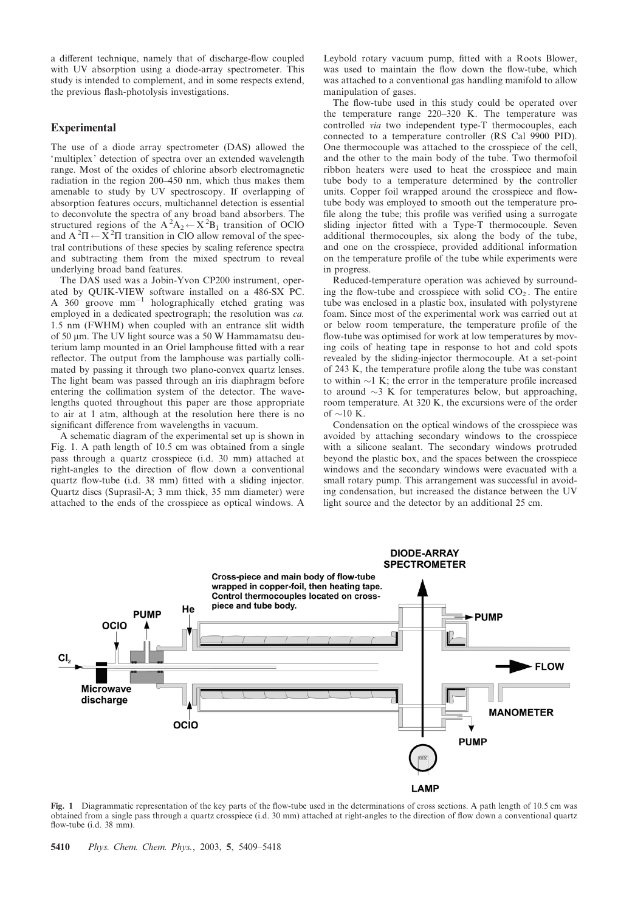a different technique, namely that of discharge-flow coupled with UV absorption using a diode-array spectrometer. This study is intended to complement, and in some respects extend, the previous flash-photolysis investigations.

# **Experimental**

The use of a diode array spectrometer (DAS) allowed the 'multiplex' detection of spectra over an extended wavelength range. Most of the oxides of chlorine absorb electromagnetic radiation in the region 200–450 nm, which thus makes them amenable to study by UV spectroscopy. If overlapping of absorption features occurs, multichannel detection is essential to deconvolute the spectra of any broad band absorbers. The structured regions of the  $A^2A_2 \leftarrow X^2B_1$  transition of OClO and  $A^2\Pi \leftarrow \bar{X}^2\Pi$  transition in ClO allow removal of the spectral contributions of these species by scaling reference spectra and subtracting them from the mixed spectrum to reveal underlying broad band features.

The DAS used was a Jobin-Yvon CP200 instrument, operated by QUIK-VIEW software installed on a 486-SX PC. A 360 groove  $mm^{-1}$  holographically etched grating was employed in a dedicated spectrograph; the resolution was ca. 1.5 nm (FWHM) when coupled with an entrance slit width of 50 µm. The UV light source was a 50 W Hammamatsu deuterium lamp mounted in an Oriel lamphouse fitted with a rear reflector. The output from the lamphouse was partially collimated by passing it through two plano-convex quartz lenses. The light beam was passed through an iris diaphragm before entering the collimation system of the detector. The wavelengths quoted throughout this paper are those appropriate to air at 1 atm, although at the resolution here there is no significant difference from wavelengths in vacuum.

A schematic diagram of the experimental set up is shown in Fig. 1. A path length of 10.5 cm was obtained from a single pass through a quartz crosspiece (i.d. 30 mm) attached at right-angles to the direction of flow down a conventional quartz flow-tube (i.d. 38 mm) fitted with a sliding injector. Quartz discs (Suprasil-A; 3 mm thick, 35 mm diameter) were attached to the ends of the crosspiece as optical windows. A Leybold rotary vacuum pump, fitted with a Roots Blower, was used to maintain the flow down the flow-tube, which was attached to a conventional gas handling manifold to allow manipulation of gases.

The flow-tube used in this study could be operated over the temperature range 220–320 K. The temperature was controlled via two independent type-T thermocouples, each connected to a temperature controller (RS Cal 9900 PID). One thermocouple was attached to the crosspiece of the cell, and the other to the main body of the tube. Two thermofoil ribbon heaters were used to heat the crosspiece and main tube body to a temperature determined by the controller units. Copper foil wrapped around the crosspiece and flowtube body was employed to smooth out the temperature profile along the tube; this profile was verified using a surrogate sliding injector fitted with a Type-T thermocouple. Seven additional thermocouples, six along the body of the tube, and one on the crosspiece, provided additional information on the temperature profile of the tube while experiments were in progress.

Reduced-temperature operation was achieved by surrounding the flow-tube and crosspiece with solid  $CO<sub>2</sub>$ . The entire tube was enclosed in a plastic box, insulated with polystyrene foam. Since most of the experimental work was carried out at or below room temperature, the temperature profile of the flow-tube was optimised for work at low temperatures by moving coils of heating tape in response to hot and cold spots revealed by the sliding-injector thermocouple. At a set-point of 243 K, the temperature profile along the tube was constant to within  $\sim$ 1 K; the error in the temperature profile increased to around  $\sim$ 3 K for temperatures below, but approaching, room temperature. At 320 K, the excursions were of the order of  $\sim$  10 K.

Condensation on the optical windows of the crosspiece was avoided by attaching secondary windows to the crosspiece with a silicone sealant. The secondary windows protruded beyond the plastic box, and the spaces between the crosspiece windows and the secondary windows were evacuated with a small rotary pump. This arrangement was successful in avoiding condensation, but increased the distance between the UV light source and the detector by an additional 25 cm.



Fig. 1 Diagrammatic representation of the key parts of the flow-tube used in the determinations of cross sections. A path length of 10.5 cm was obtained from a single pass through a quartz crosspiece (i.d. 30 mm) attached at right-angles to the direction of flow down a conventional quartz flow-tube (i.d. 38 mm).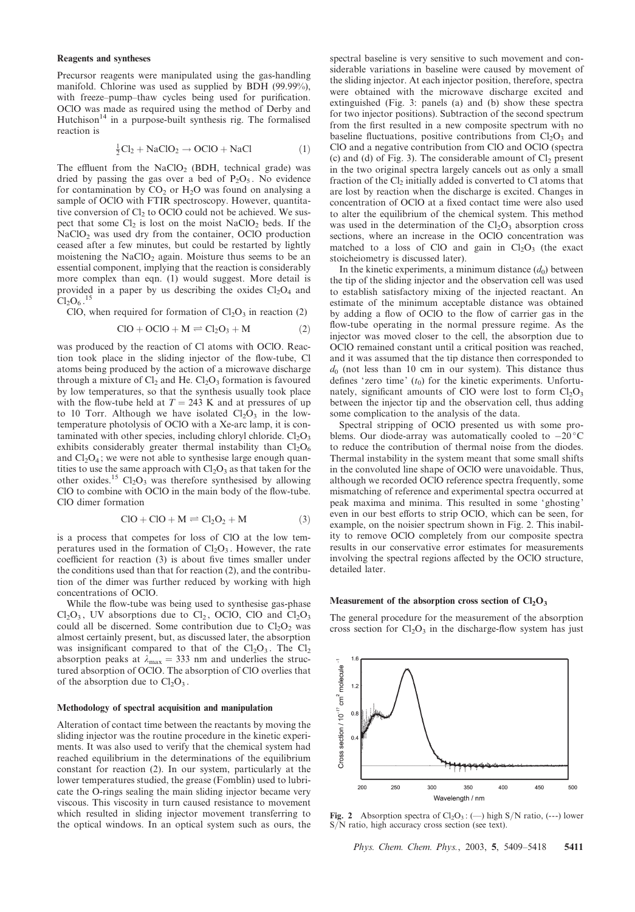#### Reagents and syntheses

Precursor reagents were manipulated using the gas-handling manifold. Chlorine was used as supplied by BDH (99.99%), with freeze–pump–thaw cycles being used for purification. OClO was made as required using the method of Derby and Hutchison<sup>14</sup> in a purpose-built synthesis rig. The formalised reaction is

$$
\frac{1}{2}Cl_2 + NaClO_2 \rightarrow OClO + NaCl
$$
 (1)

The effluent from the NaClO<sub>2</sub> (BDH, technical grade) was dried by passing the gas over a bed of  $P_2O_5$ . No evidence for contamination by  $CO<sub>2</sub>$  or  $H<sub>2</sub>O$  was found on analysing a sample of OClO with FTIR spectroscopy. However, quantitative conversion of  $Cl_2$  to OClO could not be achieved. We suspect that some  $Cl_2$  is lost on the moist  $NaClO_2$  beds. If the NaClO<sub>2</sub> was used dry from the container, OClO production ceased after a few minutes, but could be restarted by lightly moistening the  $NaClO<sub>2</sub>$  again. Moisture thus seems to be an essential component, implying that the reaction is considerably more complex than eqn. (1) would suggest. More detail is provided in a paper by us describing the oxides  $Cl<sub>2</sub>O<sub>4</sub>$  and  $Cl_2O_6$ .<sup>15</sup>

ClO, when required for formation of  $Cl<sub>2</sub>O<sub>3</sub>$  in reaction (2)

$$
ClO + OClO + M \rightleftharpoons Cl2O3 + M
$$
 (2)

was produced by the reaction of Cl atoms with OClO. Reaction took place in the sliding injector of the flow-tube, Cl atoms being produced by the action of a microwave discharge through a mixture of  $Cl_2$  and He.  $Cl_2O_3$  formation is favoured by low temperatures, so that the synthesis usually took place with the flow-tube held at  $T = 243$  K and at pressures of up to 10 Torr. Although we have isolated  $Cl<sub>2</sub>O<sub>3</sub>$  in the lowtemperature photolysis of OClO with a Xe-arc lamp, it is contaminated with other species, including chloryl chloride.  $Cl<sub>2</sub>O<sub>3</sub>$ exhibits considerably greater thermal instability than  $Cl<sub>2</sub>O<sub>6</sub>$ and  $Cl<sub>2</sub>O<sub>4</sub>$ ; we were not able to synthesise large enough quantities to use the same approach with  $Cl<sub>2</sub>O<sub>3</sub>$  as that taken for the other oxides.<sup>15</sup>  $Cl<sub>2</sub>O<sub>3</sub>$  was therefore synthesised by allowing ClO to combine with OClO in the main body of the flow-tube. ClO dimer formation

$$
ClO + ClO + M \rightleftharpoons Cl2O2 + M
$$
 (3)

is a process that competes for loss of ClO at the low temperatures used in the formation of  $Cl<sub>2</sub>O<sub>3</sub>$ . However, the rate coefficient for reaction (3) is about five times smaller under the conditions used than that for reaction (2), and the contribution of the dimer was further reduced by working with high concentrations of OClO.

While the flow-tube was being used to synthesise gas-phase  $Cl<sub>2</sub>O<sub>3</sub>$ , UV absorptions due to  $Cl<sub>2</sub>$ , OClO, ClO and  $Cl<sub>2</sub>O<sub>3</sub>$ could all be discerned. Some contribution due to  $Cl<sub>2</sub>O<sub>2</sub>$  was almost certainly present, but, as discussed later, the absorption was insignificant compared to that of the  $Cl_2O_3$ . The  $Cl_2$ absorption peaks at  $\lambda_{\text{max}} = 333 \text{ nm}$  and underlies the structured absorption of OClO. The absorption of ClO overlies that of the absorption due to  $Cl<sub>2</sub>O<sub>3</sub>$ .

#### Methodology of spectral acquisition and manipulation

Alteration of contact time between the reactants by moving the sliding injector was the routine procedure in the kinetic experiments. It was also used to verify that the chemical system had reached equilibrium in the determinations of the equilibrium constant for reaction (2). In our system, particularly at the lower temperatures studied, the grease (Fomblin) used to lubricate the O-rings sealing the main sliding injector became very viscous. This viscosity in turn caused resistance to movement which resulted in sliding injector movement transferring to the optical windows. In an optical system such as ours, the

spectral baseline is very sensitive to such movement and considerable variations in baseline were caused by movement of the sliding injector. At each injector position, therefore, spectra were obtained with the microwave discharge excited and extinguished (Fig. 3: panels (a) and (b) show these spectra for two injector positions). Subtraction of the second spectrum from the first resulted in a new composite spectrum with no baseline fluctuations, positive contributions from  $Cl<sub>2</sub>O<sub>3</sub>$  and ClO and a negative contribution from ClO and OClO (spectra (c) and (d) of Fig. 3). The considerable amount of  $Cl<sub>2</sub>$  present in the two original spectra largely cancels out as only a small fraction of the  $Cl<sub>2</sub>$  initially added is converted to Cl atoms that are lost by reaction when the discharge is excited. Changes in concentration of OClO at a fixed contact time were also used to alter the equilibrium of the chemical system. This method was used in the determination of the  $Cl<sub>2</sub>O<sub>3</sub>$  absorption cross sections, where an increase in the OClO concentration was matched to a loss of ClO and gain in  $Cl<sub>2</sub>O<sub>3</sub>$  (the exact stoicheiometry is discussed later).

In the kinetic experiments, a minimum distance  $(d_0)$  between the tip of the sliding injector and the observation cell was used to establish satisfactory mixing of the injected reactant. An estimate of the minimum acceptable distance was obtained by adding a flow of OClO to the flow of carrier gas in the flow-tube operating in the normal pressure regime. As the injector was moved closer to the cell, the absorption due to OClO remained constant until a critical position was reached, and it was assumed that the tip distance then corresponded to  $d_0$  (not less than 10 cm in our system). This distance thus defines 'zero time'  $(t_0)$  for the kinetic experiments. Unfortunately, significant amounts of ClO were lost to form  $Cl<sub>2</sub>O<sub>3</sub>$ between the injector tip and the observation cell, thus adding some complication to the analysis of the data.

Spectral stripping of OClO presented us with some problems. Our diode-array was automatically cooled to  $-20^{\circ}$ C to reduce the contribution of thermal noise from the diodes. Thermal instability in the system meant that some small shifts in the convoluted line shape of OClO were unavoidable. Thus, although we recorded OClO reference spectra frequently, some mismatching of reference and experimental spectra occurred at peak maxima and minima. This resulted in some ' ghosting' even in our best efforts to strip OClO, which can be seen, for example, on the noisier spectrum shown in Fig. 2. This inability to remove OClO completely from our composite spectra results in our conservative error estimates for measurements involving the spectral regions affected by the OClO structure, detailed later.

#### Measurement of the absorption cross section of  $Cl<sub>2</sub>O<sub>3</sub>$

The general procedure for the measurement of the absorption cross section for  $Cl<sub>2</sub>O<sub>3</sub>$  in the discharge-flow system has just



**Fig. 2** Absorption spectra of  $Cl_2O_3$ : (--) high S/N ratio, (---) lower S/N ratio, high accuracy cross section (see text).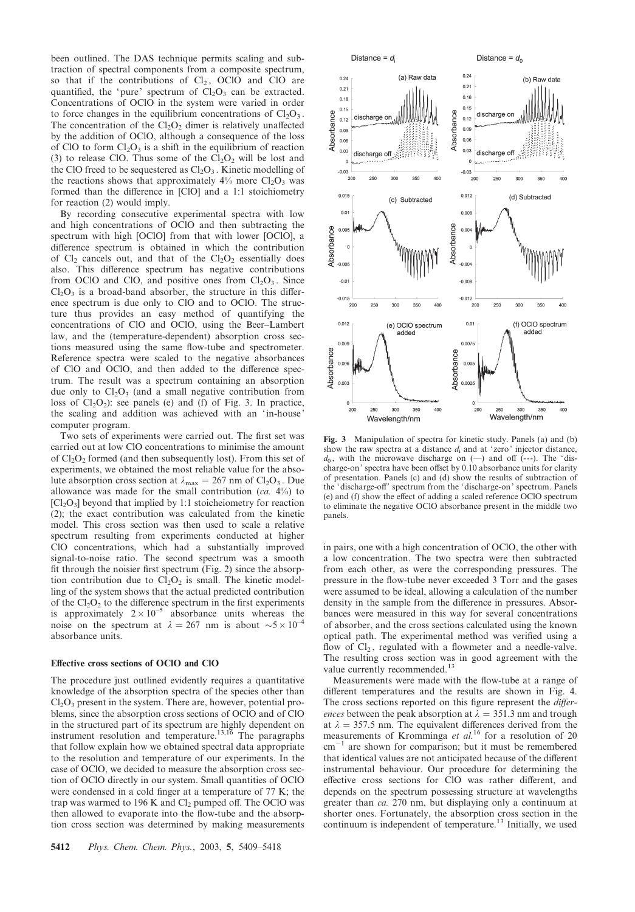been outlined. The DAS technique permits scaling and subtraction of spectral components from a composite spectrum, so that if the contributions of  $Cl<sub>2</sub>$ , OClO and ClO are quantified, the 'pure' spectrum of  $Cl<sub>2</sub>O<sub>3</sub>$  can be extracted. Concentrations of OClO in the system were varied in order to force changes in the equilibrium concentrations of  $Cl<sub>2</sub>O<sub>3</sub>$ . The concentration of the  $Cl<sub>2</sub>O<sub>2</sub>$  dimer is relatively unaffected by the addition of OClO, although a consequence of the loss of ClO to form  $Cl<sub>2</sub>O<sub>3</sub>$  is a shift in the equilibrium of reaction (3) to release ClO. Thus some of the  $Cl_2O_2$  will be lost and the ClO freed to be sequestered as  $Cl<sub>2</sub>O<sub>3</sub>$ . Kinetic modelling of the reactions shows that approximately  $4\%$  more Cl<sub>2</sub>O<sub>3</sub> was formed than the difference in [ClO] and a 1:1 stoichiometry for reaction (2) would imply.

By recording consecutive experimental spectra with low and high concentrations of OClO and then subtracting the spectrum with high [OClO] from that with lower [OClO], a difference spectrum is obtained in which the contribution of  $Cl_2$  cancels out, and that of the  $Cl_2O_2$  essentially does also. This difference spectrum has negative contributions from OClO and ClO, and positive ones from  $Cl<sub>2</sub>O<sub>3</sub>$ . Since  $Cl<sub>2</sub>O<sub>3</sub>$  is a broad-band absorber, the structure in this difference spectrum is due only to ClO and to OClO. The structure thus provides an easy method of quantifying the concentrations of ClO and OClO, using the Beer–Lambert law, and the (temperature-dependent) absorption cross sections measured using the same flow-tube and spectrometer. Reference spectra were scaled to the negative absorbances of ClO and OClO, and then added to the difference spectrum. The result was a spectrum containing an absorption due only to  $Cl<sub>2</sub>O<sub>3</sub>$  (and a small negative contribution from loss of  $Cl<sub>2</sub>O<sub>2</sub>$ ): see panels (e) and (f) of Fig. 3. In practice, the scaling and addition was achieved with an 'in-house' computer program.

Two sets of experiments were carried out. The first set was carried out at low ClO concentrations to minimise the amount of  $Cl<sub>2</sub>O<sub>2</sub>$  formed (and then subsequently lost). From this set of experiments, we obtained the most reliable value for the absolute absorption cross section at  $\lambda_{\text{max}} = 267 \text{ nm of } Cl_2O_3$ . Due allowance was made for the small contribution  $(ca. 4\%)$  to  $\left[\text{Cl}_2\text{O}_3\right]$  beyond that implied by 1:1 stoicheiometry for reaction (2); the exact contribution was calculated from the kinetic model. This cross section was then used to scale a relative spectrum resulting from experiments conducted at higher ClO concentrations, which had a substantially improved signal-to-noise ratio. The second spectrum was a smooth fit through the noisier first spectrum (Fig. 2) since the absorption contribution due to  $Cl<sub>2</sub>O<sub>2</sub>$  is small. The kinetic modelling of the system shows that the actual predicted contribution of the  $Cl<sub>2</sub>O<sub>2</sub>$  to the difference spectrum in the first experiments is approximately  $2 \times 10^{-5}$  absorbance units whereas the noise on the spectrum at  $\lambda = 267$  nm is about  $\sim 5 \times 10^{-4}$ absorbance units.

#### Effective cross sections of OClO and ClO

The procedure just outlined evidently requires a quantitative knowledge of the absorption spectra of the species other than  $Cl<sub>2</sub>O<sub>3</sub>$  present in the system. There are, however, potential problems, since the absorption cross sections of OClO and of ClO in the structured part of its spectrum are highly dependent on instrument resolution and temperature.<sup>13,16</sup> The paragraphs that follow explain how we obtained spectral data appropriate to the resolution and temperature of our experiments. In the case of OClO, we decided to measure the absorption cross section of OClO directly in our system. Small quantities of OClO were condensed in a cold finger at a temperature of 77 K; the trap was warmed to 196 K and  $Cl<sub>2</sub>$  pumped off. The OClO was then allowed to evaporate into the flow-tube and the absorption cross section was determined by making measurements



Fig. 3 Manipulation of spectra for kinetic study. Panels (a) and (b) show the raw spectra at a distance  $d_i$  and at 'zero' injector distance,  $d_0$ , with the microwave discharge on  $(-)$  and off  $(-)$ . The 'discharge-on' spectra have been offset by 0.10 absorbance units for clarity of presentation. Panels (c) and (d) show the results of subtraction of the ' discharge-off' spectrum from the 'discharge-on' spectrum. Panels (e) and (f) show the effect of adding a scaled reference OClO spectrum to eliminate the negative OClO absorbance present in the middle two panels.

in pairs, one with a high concentration of OClO, the other with a low concentration. The two spectra were then subtracted from each other, as were the corresponding pressures. The pressure in the flow-tube never exceeded 3 Torr and the gases were assumed to be ideal, allowing a calculation of the number density in the sample from the difference in pressures. Absorbances were measured in this way for several concentrations of absorber, and the cross sections calculated using the known optical path. The experimental method was verified using a flow of  $Cl_2$ , regulated with a flowmeter and a needle-valve. The resulting cross section was in good agreement with the value currently recommended.<sup>13</sup>

Measurements were made with the flow-tube at a range of different temperatures and the results are shown in Fig. 4. The cross sections reported on this figure represent the differences between the peak absorption at  $\lambda = 351.3$  nm and trough at  $\lambda = 357.5$  nm. The equivalent differences derived from the measurements of Kromminga et al.<sup>16</sup> for a resolution of 20 cm<sup>-1</sup> are shown for comparison; but it must be remembered are shown for comparison; but it must be remembered that identical values are not anticipated because of the different instrumental behaviour. Our procedure for determining the effective cross sections for ClO was rather different, and depends on the spectrum possessing structure at wavelengths greater than ca. 270 nm, but displaying only a continuum at shorter ones. Fortunately, the absorption cross section in the continuum is independent of temperature.<sup>13</sup> Initially, we used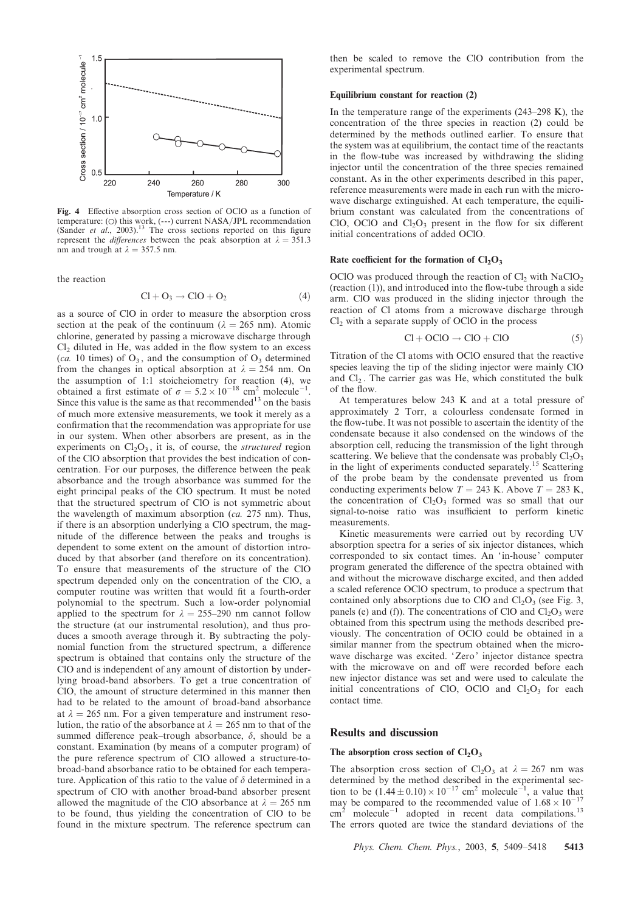

Fig. 4 Effective absorption cross section of OClO as a function of temperature: ( $\circ$ ) this work, (---) current NASA/JPL recommendation (Sander *et al.*, 2003).<sup>13</sup> The cross sections reported on this figure represent the *differences* between the peak absorption at  $\lambda = 351.3$ nm and trough at  $\lambda = 357.5$  nm.

the reaction

$$
Cl + O_3 \rightarrow ClO + O_2 \tag{4}
$$

as a source of ClO in order to measure the absorption cross section at the peak of the continuum ( $\lambda = 265$  nm). Atomic chlorine, generated by passing a microwave discharge through  $Cl<sub>2</sub>$  diluted in He, was added in the flow system to an excess (ca. 10 times) of  $O_3$ , and the consumption of  $O_3$  determined from the changes in optical absorption at  $\lambda = 254$  nm. On the assumption of 1:1 stoicheiometry for reaction (4), we obtained a first estimate of  $\sigma = 5.2 \times 10^{-18}$  cm<sup>2</sup> molecule<sup>-1</sup>. Since this value is the same as that recommended<sup>13</sup> on the basis of much more extensive measurements, we took it merely as a confirmation that the recommendation was appropriate for use in our system. When other absorbers are present, as in the experiments on  $Cl<sub>2</sub>O<sub>3</sub>$ , it is, of course, the *structured* region of the ClO absorption that provides the best indication of concentration. For our purposes, the difference between the peak absorbance and the trough absorbance was summed for the eight principal peaks of the ClO spectrum. It must be noted that the structured spectrum of ClO is not symmetric about the wavelength of maximum absorption (ca. 275 nm). Thus, if there is an absorption underlying a ClO spectrum, the magnitude of the difference between the peaks and troughs is dependent to some extent on the amount of distortion introduced by that absorber (and therefore on its concentration). To ensure that measurements of the structure of the ClO spectrum depended only on the concentration of the ClO, a computer routine was written that would fit a fourth-order polynomial to the spectrum. Such a low-order polynomial applied to the spectrum for  $\lambda = 255-290$  nm cannot follow the structure (at our instrumental resolution), and thus produces a smooth average through it. By subtracting the polynomial function from the structured spectrum, a difference spectrum is obtained that contains only the structure of the ClO and is independent of any amount of distortion by underlying broad-band absorbers. To get a true concentration of ClO, the amount of structure determined in this manner then had to be related to the amount of broad-band absorbance at  $\lambda = 265$  nm. For a given temperature and instrument resolution, the ratio of the absorbance at  $\lambda = 265$  nm to that of the summed difference peak–trough absorbance,  $\delta$ , should be a constant. Examination (by means of a computer program) of the pure reference spectrum of ClO allowed a structure-tobroad-band absorbance ratio to be obtained for each temperature. Application of this ratio to the value of  $\delta$  determined in a spectrum of ClO with another broad-band absorber present allowed the magnitude of the ClO absorbance at  $\lambda = 265$  nm to be found, thus yielding the concentration of ClO to be found in the mixture spectrum. The reference spectrum can

then be scaled to remove the ClO contribution from the experimental spectrum.

#### Equilibrium constant for reaction (2)

In the temperature range of the experiments (243–298 K), the concentration of the three species in reaction (2) could be determined by the methods outlined earlier. To ensure that the system was at equilibrium, the contact time of the reactants in the flow-tube was increased by withdrawing the sliding injector until the concentration of the three species remained constant. As in the other experiments described in this paper, reference measurements were made in each run with the microwave discharge extinguished. At each temperature, the equilibrium constant was calculated from the concentrations of ClO, OClO and  $Cl<sub>2</sub>O<sub>3</sub>$  present in the flow for six different initial concentrations of added OClO.

#### Rate coefficient for the formation of  $Cl<sub>2</sub>O<sub>3</sub>$

OClO was produced through the reaction of  $Cl<sub>2</sub>$  with NaClO<sub>2</sub> (reaction (1)), and introduced into the flow-tube through a side arm. ClO was produced in the sliding injector through the reaction of Cl atoms from a microwave discharge through  $Cl<sub>2</sub>$  with a separate supply of OClO in the process

$$
Cl + OCIO \rightarrow ClO + ClO \tag{5}
$$

Titration of the Cl atoms with OClO ensured that the reactive species leaving the tip of the sliding injector were mainly ClO and  $Cl<sub>2</sub>$ . The carrier gas was He, which constituted the bulk of the flow.

At temperatures below 243 K and at a total pressure of approximately 2 Torr, a colourless condensate formed in the flow-tube. It was not possible to ascertain the identity of the condensate because it also condensed on the windows of the absorption cell, reducing the transmission of the light through scattering. We believe that the condensate was probably  $Cl_2O_3$ in the light of experiments conducted separately.<sup>15</sup> Scattering of the probe beam by the condensate prevented us from conducting experiments below  $T = 243$  K. Above  $T = 283$  K, the concentration of  $Cl<sub>2</sub>O<sub>3</sub>$  formed was so small that our signal-to-noise ratio was insufficient to perform kinetic measurements.

Kinetic measurements were carried out by recording UV absorption spectra for a series of six injector distances, which corresponded to six contact times. An 'in-house' computer program generated the difference of the spectra obtained with and without the microwave discharge excited, and then added a scaled reference OClO spectrum, to produce a spectrum that contained only absorptions due to ClO and  $Cl<sub>2</sub>O<sub>3</sub>$  (see Fig. 3, panels (e) and (f)). The concentrations of ClO and  $Cl<sub>2</sub>O<sub>3</sub>$  were obtained from this spectrum using the methods described previously. The concentration of OClO could be obtained in a similar manner from the spectrum obtained when the microwave discharge was excited. 'Zero' injector distance spectra with the microwave on and off were recorded before each new injector distance was set and were used to calculate the initial concentrations of ClO, OClO and  $Cl<sub>2</sub>O<sub>3</sub>$  for each contact time.

## Results and discussion

## The absorption cross section of  $Cl<sub>2</sub>O<sub>3</sub>$

The absorption cross section of Cl<sub>2</sub>O<sub>3</sub> at  $\lambda = 267$  nm was determined by the method described in the experimental section to be  $(1.44 \pm 0.10) \times 10^{-17}$  cm<sup>2</sup> molecule<sup>-1</sup>, a value that may be compared to the recommended value of  $1.68 \times 10^{-17}$  $cm<sup>2</sup>$  molecule<sup>-1</sup> adopted in recent data compilations.<sup>13</sup> The errors quoted are twice the standard deviations of the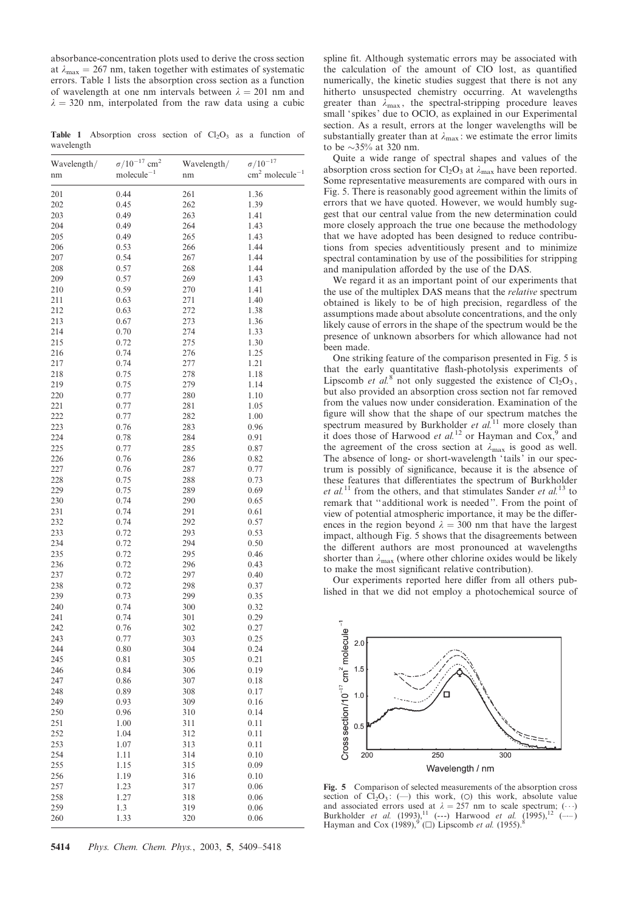absorbance-concentration plots used to derive the cross section at  $\lambda_{\text{max}} = 267$  nm, taken together with estimates of systematic errors. Table 1 lists the absorption cross section as a function of wavelength at one nm intervals between  $\lambda = 201$  nm and  $\lambda = 320$  nm, interpolated from the raw data using a cubic

Table 1 Absorption cross section of  $Cl<sub>2</sub>O<sub>3</sub>$  as a function of wavelength

| Wavelength/ | $\sigma/10^{-17}$ cm <sup>2</sup> | Wavelength/ | $\sigma/10^{-17}$                    |
|-------------|-----------------------------------|-------------|--------------------------------------|
| nm          | $molecule^{-1}$                   | nm          | $\text{cm}^2$ molecule <sup>-1</sup> |
|             |                                   |             |                                      |
| 201         | 0.44                              | 261         | 1.36                                 |
| 202         | 0.45                              | 262         | 1.39                                 |
| 203<br>204  | 0.49<br>0.49                      | 263<br>264  | 1.41                                 |
| 205         |                                   | 265         | 1.43<br>1.43                         |
| 206         | 0.49<br>0.53                      | 266         | 1.44                                 |
| 207         | 0.54                              | 267         | 1.44                                 |
| 208         | 0.57                              | 268         | 1.44                                 |
| 209         | 0.57                              | 269         | 1.43                                 |
| 210         | 0.59                              | 270         | 1.41                                 |
| 211         | 0.63                              | 271         | 1.40                                 |
| 212         | 0.63                              | 272         | 1.38                                 |
| 213         | 0.67                              | 273         | 1.36                                 |
| 214         | 0.70                              | 274         | 1.33                                 |
| 215         | 0.72                              | 275         | 1.30                                 |
| 216         | 0.74                              | 276         | 1.25                                 |
| 217         | 0.74                              | 277         | 1.21                                 |
| 218         | 0.75                              | 278         | 1.18                                 |
| 219         | 0.75                              | 279         | 1.14                                 |
| 220         | 0.77                              | 280         | 1.10                                 |
| 221         | 0.77                              | 281         | 1.05                                 |
| 222         | 0.77                              | 282         | 1.00                                 |
| 223         | 0.76                              | 283         | 0.96                                 |
| 224         | 0.78                              | 284         | 0.91                                 |
| 225         | 0.77                              | 285         | 0.87                                 |
| 226         | 0.76                              | 286         | 0.82                                 |
| 227         | 0.76                              | 287         | 0.77                                 |
| 228         | 0.75                              | 288         | 0.73                                 |
| 229         | 0.75                              | 289         | 0.69                                 |
| 230         | 0.74                              | 290         | 0.65                                 |
| 231<br>232  | 0.74                              | 291<br>292  | 0.61                                 |
| 233         | 0.74<br>0.72                      | 293         | 0.57<br>0.53                         |
| 234         | 0.72                              | 294         | 0.50                                 |
| 235         | 0.72                              | 295         | 0.46                                 |
| 236         | 0.72                              | 296         | 0.43                                 |
| 237         | 0.72                              | 297         | 0.40                                 |
| 238         | 0.72                              | 298         | 0.37                                 |
| 239         | 0.73                              | 299         | 0.35                                 |
| 240         | 0.74                              | 300         | 0.32                                 |
| 241         | 0.74                              | 301         | 0.29                                 |
| 242         | 0.76                              | 302         | 0.27                                 |
| 243         | 0.77                              | 303         | 0.25                                 |
| 244         | 0.80                              | 304         | 0.24                                 |
| 245         | 0.81                              | 305         | 0.21                                 |
| 246         | 0.84                              | 306         | 0.19                                 |
| 247         | 0.86                              | 307         | 0.18                                 |
| 248         | 0.89                              | 308         | 0.17                                 |
| 249         | 0.93                              | 309         | 0.16                                 |
| 250         | 0.96                              | 310         | 0.14                                 |
| 251         | 1.00                              | 311         | 0.11                                 |
| 252         | 1.04                              | 312         | 0.11                                 |
| 253         | 1.07                              | 313         | 0.11                                 |
| 254         | 1.11                              | 314         | 0.10                                 |
| 255         | 1.15                              | 315         | 0.09                                 |
| 256         | 1.19                              | 316         | 0.10                                 |
| 257<br>258  | 1.23                              | 317         | 0.06                                 |
| 259         | 1.27<br>1.3                       | 318<br>319  | 0.06<br>0.06                         |
| 260         | 1.33                              | 320         | 0.06                                 |
|             |                                   |             |                                      |

5414 Phys. Chem. Chem. Phys., 2003, 5, 5409–5418

spline fit. Although systematic errors may be associated with the calculation of the amount of ClO lost, as quantified numerically, the kinetic studies suggest that there is not any hitherto unsuspected chemistry occurring. At wavelengths greater than  $\lambda_{\text{max}}$ , the spectral-stripping procedure leaves small 'spikes' due to OClO, as explained in our Experimental section. As a result, errors at the longer wavelengths will be substantially greater than at  $\lambda_{\text{max}}$ : we estimate the error limits to be  $\sim$ 35% at 320 nm.

Quite a wide range of spectral shapes and values of the absorption cross section for Cl<sub>2</sub>O<sub>3</sub> at  $\lambda_{\text{max}}$  have been reported. Some representative measurements are compared with ours in Fig. 5. There is reasonably good agreement within the limits of errors that we have quoted. However, we would humbly suggest that our central value from the new determination could more closely approach the true one because the methodology that we have adopted has been designed to reduce contributions from species adventitiously present and to minimize spectral contamination by use of the possibilities for stripping and manipulation afforded by the use of the DAS.

We regard it as an important point of our experiments that the use of the multiplex DAS means that the *relative* spectrum obtained is likely to be of high precision, regardless of the assumptions made about absolute concentrations, and the only likely cause of errors in the shape of the spectrum would be the presence of unknown absorbers for which allowance had not been made.

One striking feature of the comparison presented in Fig. 5 is that the early quantitative flash-photolysis experiments of Lipscomb et  $al$ <sup>8</sup> not only suggested the existence of  $Cl<sub>2</sub>O<sub>3</sub>$ , but also provided an absorption cross section not far removed from the values now under consideration. Examination of the figure will show that the shape of our spectrum matches the spectrum measured by Burkholder *et al.*<sup>11</sup> more closely than it does those of Harwood et al.<sup>12</sup> or Hayman and Cox,<sup>9</sup> and the agreement of the cross section at  $\lambda_{\text{max}}$  is good as well. The absence of long- or short-wavelength 'tails' in our spectrum is possibly of significance, because it is the absence of these features that differentiates the spectrum of Burkholder et al.<sup>11</sup> from the others, and that stimulates Sander et al.<sup>1</sup> remark that '' additional work is needed''. From the point of view of potential atmospheric importance, it may be the differences in the region beyond  $\lambda = 300$  nm that have the largest impact, although Fig. 5 shows that the disagreements between the different authors are most pronounced at wavelengths shorter than  $\lambda_{\text{max}}$  (where other chlorine oxides would be likely to make the most significant relative contribution).

Our experiments reported here differ from all others published in that we did not employ a photochemical source of



Fig. 5 Comparison of selected measurements of the absorption cross section of  $Cl_2O_3$ : (--) this work, (O) this work, absolute value and associated errors used at  $\lambda = 257$  nm to scale spectrum;  $(\cdot \cdot \cdot)$ <br>Burkholder *et al.* (1993),<sup>11</sup> (---) Harwood *et al.* (1995),<sup>12</sup> (---) Hayman and Cox (1989),  $^{9}$  ( $\square$ ) Lipscomb *et al.* (1955).<sup>8</sup>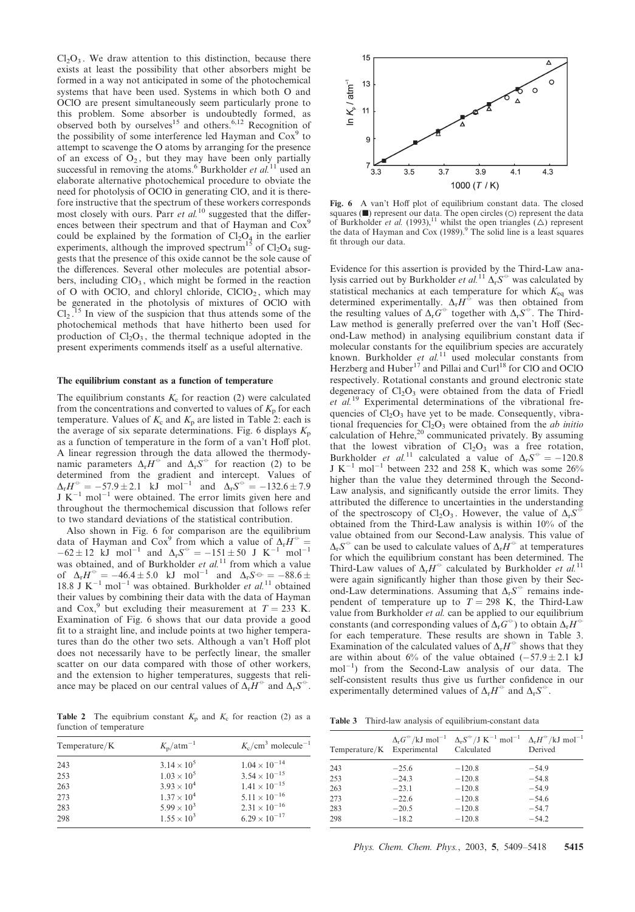$Cl<sub>2</sub>O<sub>3</sub>$ . We draw attention to this distinction, because there exists at least the possibility that other absorbers might be formed in a way not anticipated in some of the photochemical systems that have been used. Systems in which both O and OClO are present simultaneously seem particularly prone to this problem. Some absorber is undoubtedly formed, as observed both by ourselves<sup>15</sup> and others.<sup>6,12</sup> Recognition of the possibility of some interference led Hayman and  $\cos^9$  to attempt to scavenge the O atoms by arranging for the presence of an excess of  $O_2$ , but they may have been only partially successful in removing the atoms.<sup>6</sup> Burkholder *et al.*<sup>11</sup> used an elaborate alternative photochemical procedure to obviate the need for photolysis of OClO in generating ClO, and it is therefore instructive that the spectrum of these workers corresponds most closely with ours. Parr et al.<sup>10</sup> suggested that the differences between their spectrum and that of Hayman and Cox<sup>9</sup> could be explained by the formation of  $Cl<sub>2</sub>O<sub>4</sub>$  in the earlier experiments, although the improved spectrum<sup>15</sup> of  $Cl<sub>2</sub>O<sub>4</sub>$  suggests that the presence of this oxide cannot be the sole cause of the differences. Several other molecules are potential absorbers, including  $ClO<sub>3</sub>$ , which might be formed in the reaction of O with OClO, and chloryl chloride,  $CICIO<sub>2</sub>$ , which may be generated in the photolysis of mixtures of OClO with  $Cl<sub>2</sub>$ . <sup>15</sup> In view of the suspicion that thus attends some of the photochemical methods that have hitherto been used for production of  $Cl<sub>2</sub>O<sub>3</sub>$ , the thermal technique adopted in the present experiments commends itself as a useful alternative.

## The equilibrium constant as a function of temperature

The equilibrium constants  $K_c$  for reaction (2) were calculated from the concentrations and converted to values of  $K_p$  for each temperature. Values of  $K_c$  and  $K_p$  are listed in Table 2: each is the average of six separate determinations. Fig. 6 displays  $K_p$ as a function of temperature in the form of a van't Hoff plot. A linear regression through the data allowed the thermodynamic parameters  $\Delta_r H^{\circ}$  and  $\Delta_r S^{\circ}$  for reaction (2) to be determined from the gradient and intercept. Values of  $\Delta_{\rm r} H^{\circ} = -57.9 \pm 2.1$  kJ mol<sup>-1</sup> and  $\Delta_{\rm r} S^{\circ} = -132.6 \pm 7.9$  $J K^{-1}$  mol<sup>-1</sup> were obtained. The error limits given here and throughout the thermochemical discussion that follows refer to two standard deviations of the statistical contribution.

Also shown in Fig. 6 for comparison are the equilibrium data of Hayman and Cox<sup>9</sup> from which a value of  $\Delta_{\rm r}H^{\rm \circ}$  =  $-62 \pm 12$  kJ mol<sup>-1</sup> and  $\Delta_r S^{\circ} = -151 \pm 50$  J K<sup>-1</sup> mol<sup>-1</sup> was obtained, and of Burkholder et  $al$ .<sup>11</sup> from which a value of  $\Delta_r H^{\circ} = -46.4 \pm 5.0$  kJ mol<sup>-1</sup> and  $\Delta_r S^{\circ} = -88.6 \pm$ 18.8 J  $K^{-1}$  mol<sup>-1</sup> was obtained. Burkholder *et al.*<sup>11</sup> obtained their values by combining their data with the data of Hayman and Cox,<sup>9</sup> but excluding their measurement at  $T = 233$  K. Examination of Fig. 6 shows that our data provide a good fit to a straight line, and include points at two higher temperatures than do the other two sets. Although a van't Hoff plot does not necessarily have to be perfectly linear, the smaller scatter on our data compared with those of other workers, and the extension to higher temperatures, suggests that reliance may be placed on our central values of  $\overline{\Delta_r H}^{\circ}$  and  $\overline{\Delta_r S}^{\circ}$ .

**Table 2** The equibrium constant  $K_p$  and  $K_c$  for reaction (2) as a function of temperature

| Temperature/K | $K_{\rm p}/\text{atm}^{-1}$ | $K_c$ /cm <sup>3</sup> molecule <sup>-1</sup> |
|---------------|-----------------------------|-----------------------------------------------|
| 243           | $3.14 \times 10^{5}$        | $1.04 \times 10^{-14}$                        |
| 253           | $1.03 \times 10^{5}$        | $3.54 \times 10^{-15}$                        |
| 263           | $3.93 \times 10^{4}$        | $1.41 \times 10^{-15}$                        |
| 273           | $1.37 \times 10^{4}$        | $5.11 \times 10^{-16}$                        |
| 283           | $5.99 \times 10^{3}$        | $2.31 \times 10^{-16}$                        |
| 298           | $1.55 \times 10^{3}$        | $6.29 \times 10^{-17}$                        |



Fig. 6 A van't Hoff plot of equilibrium constant data. The closed squares  $(\blacksquare)$  represent our data. The open circles  $(\bigcirc)$  represent the data of Burkholder *et al.* (1993),<sup>11</sup> whilst the open triangles ( $\triangle$ ) represent the data of Hayman and Cox  $(1989)$ .<sup>9</sup> The solid line is a least squares fit through our data.

Evidence for this assertion is provided by the Third-Law analysis carried out by Burkholder et al.<sup>11</sup>  $\Delta_r S^{\circ}$  was calculated by statistical mechanics at each temperature for which  $K_{eq}$  was determined experimentally.  $\Delta_r H^{\oplus}$  was then obtained from the resulting values of  $\Delta_{r}G^{\ominus}$  together with  $\Delta_{r}S^{\ominus}$ . The Third-Law method is generally preferred over the van't Hoff (Second-Law method) in analysing equilibrium constant data if molecular constants for the equilibrium species are accurately known. Burkholder et  $al$ <sup>11</sup> used molecular constants from Herzberg and Huber<sup>17</sup> and Pillai and Curl<sup>18</sup> for ClO and OClO respectively. Rotational constants and ground electronic state degeneracy of  $Cl<sub>2</sub>O<sub>3</sub>$  were obtained from the data of Friedl  $et$   $al$ <sup>19</sup> Experimental determinations of the vibrational frequencies of  $Cl<sub>2</sub>O<sub>3</sub>$  have yet to be made. Consequently, vibrational frequencies for  $Cl<sub>2</sub>O<sub>3</sub>$  were obtained from the *ab initio* calculation of Hehre,<sup>20</sup> communicated privately. By assuming that the lowest vibration of  $Cl<sub>2</sub>O<sub>3</sub>$  was a free rotation, Burkholder *et al.*<sup>11</sup> calculated a value of  $\Delta_r S^{\circ} = -120.8$ J K<sup>-1</sup> mol<sup>-1</sup> between 232 and 258 K, which was some 26% higher than the value they determined through the Second-Law analysis, and significantly outside the error limits. They attributed the difference to uncertainties in the understanding of the spectroscopy of Cl<sub>2</sub>O<sub>3</sub>. However, the value of  $\Delta_r S^{\circ}$ obtained from the Third-Law analysis is within 10% of the value obtained from our Second-Law analysis. This value of  $\Delta_r S^{\circ}$  can be used to calculate values of  $\Delta_r H^{\circ}$  at temperatures for which the equilibrium constant has been determined. The Third-Law values of  $\Delta_r H^{\circ}$  calculated by Burkholder et al.<sup>11</sup> were again significantly higher than those given by their Second-Law determinations. Assuming that  $\Delta_r S^{\ominus}$  remains independent of temperature up to  $T = 298$  K, the Third-Law value from Burkholder et al. can be applied to our equilibrium constants (and corresponding values of  $\Delta_{\rm r} G^{\circ}$ ) to obtain  $\Delta_{\rm r} H^{\circ}$ for each temperature. These results are shown in Table 3. Examination of the calculated values of  $\Delta_r H^{\circ}$  shows that they are within about 6% of the value obtained  $(-57.9 \pm 2.1 \text{ kJ})$  $mol^{-1}$ ) from the Second-Law analysis of our data. The self-consistent results thus give us further confidence in our experimentally determined values of  $\Delta_r H^{\circ}$  and  $\Delta_r S^{\circ}$ .

Table 3 Third-law analysis of equilibrium-constant data

| Temperature/K Experimental |         | $\Delta_r G^{\circ}/kJ$ mol <sup>-1</sup> $\Delta_r S^{\circ}/J$ K <sup>-1</sup> mol <sup>-1</sup> $\Delta_r H^{\circ}/kJ$ mol <sup>-1</sup><br>Calculated | Derived |
|----------------------------|---------|------------------------------------------------------------------------------------------------------------------------------------------------------------|---------|
| 243                        | $-25.6$ | $-120.8$                                                                                                                                                   | $-54.9$ |
| 253                        | $-24.3$ | $-120.8$                                                                                                                                                   | $-54.8$ |
| 263                        | $-23.1$ | $-120.8$                                                                                                                                                   | $-54.9$ |
| 273                        | $-22.6$ | $-120.8$                                                                                                                                                   | $-54.6$ |
| 283                        | $-20.5$ | $-120.8$                                                                                                                                                   | $-54.7$ |
| 298                        | $-18.2$ | $-120.8$                                                                                                                                                   | $-54.2$ |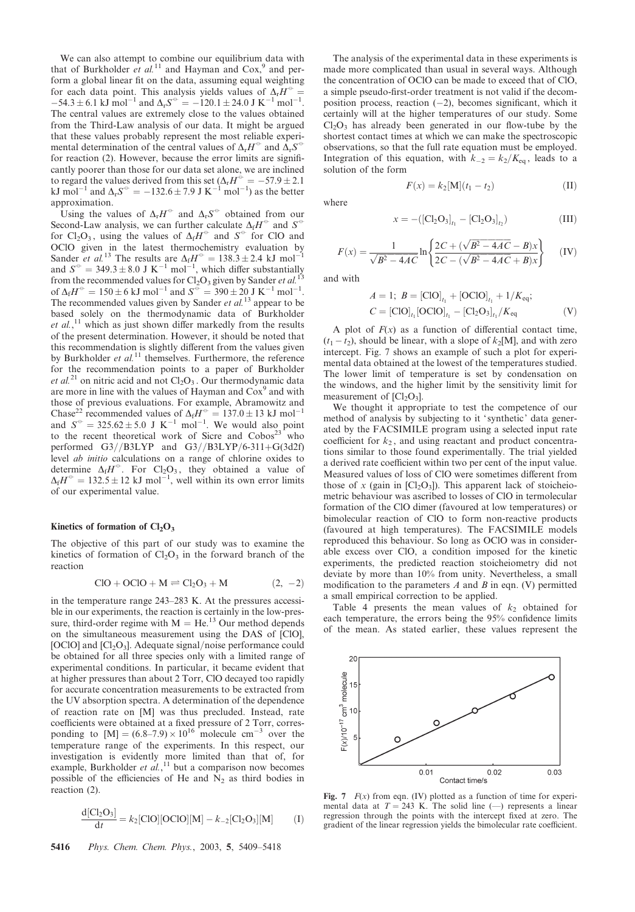We can also attempt to combine our equilibrium data with that of Burkholder et  $al$ <sup>11</sup> and Hayman and Cox,<sup>9</sup> and perform a global linear fit on the data, assuming equal weighting for each data point. This analysis yields values of  $\Delta_{\rm r}H^{\rm \odot}$  =  $-54.3 \pm 6.1 \text{ kJ} \text{ mol}^{-1}$  and  $\Delta_r S^{\circ} = -120.1 \pm 24.0 \text{ J K}^{-1} \text{ mol}^{-1}$ . The central values are extremely close to the values obtained from the Third-Law analysis of our data. It might be argued that these values probably represent the most reliable experimental determination of the central values of  $\Delta_r H^{\circ}$  and  $\Delta_r S^{\circ}$ for reaction (2). However, because the error limits are significantly poorer than those for our data set alone, we are inclined to regard the values derived from this set ( $\Delta_{\rm r}H^{\odot} = -57.9 \pm 2.1$ kJ mol<sup>-1</sup> and  $\Delta_r S^{\circ} = -132.6 \pm 7.9$  J K<sup>-1</sup> mol<sup>-1</sup>) as the better approximation.

Using the values of  $\Delta_r H^{\circ}$  and  $\Delta_r S^{\circ}$  obtained from our Second-Law analysis, we can further calculate  $\Delta_f H^{\circ}$  and  $S^{\circ}$ for Cl<sub>2</sub>O<sub>3</sub>, using the values of  $\Delta_f H^{\circ}$  and  $S^{\circ}$  for ClO and OClO given in the latest thermochemistry evaluation by Sander *et al.*<sup>13</sup> The results are  $\Delta_f H^{\circ} = 138.3 \pm 2.4$  kJ mol<sup>-1</sup> and  $S^{\circ} = 349.3 \pm 8.0 \text{ J K}^{-1} \text{ mol}^{-1}$ , which differ substantially from the recommended values for  $Cl_2O_3$  given by Sander *et al.*<sup>13</sup> of  $\Delta_f H^{\circ} = 150 \pm 6 \text{ kJ} \text{ mol}^{-1}$  and  $S^{\circ} = 390 \pm 20 \text{ J K}^{-1} \text{ mol}^{-1}$ . The recommended values given by Sander *et al.*<sup>13</sup> appear to be based solely on the thermodynamic data of Burkholder et  $al$ ,<sup>11</sup> which as just shown differ markedly from the results of the present determination. However, it should be noted that this recommendation is slightly different from the values given by Burkholder *et al.*<sup>11</sup> themselves. Furthermore, the reference for the recommendation points to a paper of Burkholder et al.<sup>21</sup> on nitric acid and not  $Cl<sub>2</sub>O<sub>3</sub>$ . Our thermodynamic data are more in line with the values of Hayman and  $\cos^9$  and with those of previous evaluations. For example, Abramowitz and Chase<sup>22</sup> recommended values of  $\Delta_f H^{\circ} = 137.0 \pm 13 \text{ kJ} \text{ mol}^{-1}$ and  $S^{\circ} = 325.62 \pm 5.0$  J K<sup>-1</sup> mol<sup>-1</sup>. We would also point to the recent theoretical work of Sicre and  $Cobos<sup>23</sup>$  who performed G3//B3LYP and G3//B3LYP/6-311+G(3d2f) level ab initio calculations on a range of chlorine oxides to determine  $\Delta_f H^{\circ}$ . For Cl<sub>2</sub>O<sub>3</sub>, they obtained a value of  $\Delta_f H^{\circ} = 132.5 \pm 12 \text{ kJ mol}^{-1}$ , well within its own error limits of our experimental value.

#### Kinetics of formation of  $Cl<sub>2</sub>O<sub>3</sub>$

The objective of this part of our study was to examine the kinetics of formation of  $Cl<sub>2</sub>O<sub>3</sub>$  in the forward branch of the reaction

$$
ClO + OClO + M \rightleftharpoons Cl2O3 + M
$$
 (2, -2)

in the temperature range 243–283 K. At the pressures accessible in our experiments, the reaction is certainly in the low-pressure, third-order regime with  $M = He<sup>13</sup>$  Our method depends on the simultaneous measurement using the DAS of [ClO], [OClO] and  $\left[C\right]_{2}O_{3}$ ]. Adequate signal/noise performance could be obtained for all three species only with a limited range of experimental conditions. In particular, it became evident that at higher pressures than about 2 Torr, ClO decayed too rapidly for accurate concentration measurements to be extracted from the UV absorption spectra. A determination of the dependence of reaction rate on [M] was thus precluded. Instead, rate coefficients were obtained at a fixed pressure of 2 Torr, corresponding to  $[M] = (6.8-7.9) \times 10^{16}$  molecule cm<sup>-3</sup> over the temperature range of the experiments. In this respect, our investigation is evidently more limited than that of, for example, Burkholder et  $al$ , <sup>11</sup> but a comparison now becomes possible of the efficiencies of He and  $N_2$  as third bodies in reaction (2).

$$
\frac{d[Cl_2O_3]}{dt} = k_2 [CIO][OCIO][M] - k_{-2}[Cl_2O_3][M] \tag{I}
$$

The analysis of the experimental data in these experiments is made more complicated than usual in several ways. Although the concentration of OClO can be made to exceed that of ClO, a simple pseudo-first-order treatment is not valid if the decomposition process, reaction  $(-2)$ , becomes significant, which it certainly will at the higher temperatures of our study. Some  $Cl<sub>2</sub>O<sub>3</sub>$  has already been generated in our flow-tube by the shortest contact times at which we can make the spectroscopic observations, so that the full rate equation must be employed. Integration of this equation, with  $k_{-2} = k_2/K_{eq}$ , leads to a solution of the form

 $F(x) = k_2[M](t_1 - t_2)$  (II)

where

$$
x = -([Cl_2O_3]_{t_1} - [Cl_2O_3]_{t_2})
$$
 (III)

$$
F(x) = \frac{1}{\sqrt{B^2 - 4AC}} \ln \left\{ \frac{2C + (\sqrt{B^2 - 4AC} - B)x}{2C - (\sqrt{B^2 - 4AC} + B)x} \right\}
$$
 (IV)

and with

$$
A = 1; B = [CIO]_{t_1} + [OCIO]_{t_1} + 1/K_{eq};
$$
  
\n
$$
C = [CIO]_{t_1} [OCIO]_{t_1} - [Cl_2O_3]_{t_1}/K_{eq}
$$
 (V)

A plot of  $F(x)$  as a function of differential contact time,  $(t_1 - t_2)$ , should be linear, with a slope of  $k_2$ [M], and with zero intercept. Fig. 7 shows an example of such a plot for experimental data obtained at the lowest of the temperatures studied. The lower limit of temperature is set by condensation on the windows, and the higher limit by the sensitivity limit for measurement of  $[Cl<sub>2</sub>O<sub>3</sub>]$ .

We thought it appropriate to test the competence of our method of analysis by subjecting to it 'synthetic' data generated by the FACSIMILE program using a selected input rate coefficient for  $k_2$ , and using reactant and product concentrations similar to those found experimentally. The trial yielded a derived rate coefficient within two per cent of the input value. Measured values of loss of ClO were sometimes different from those of x (gain in  $\left[\text{Cl}_2\text{O}_3\right]$ ). This apparent lack of stoicheiometric behaviour was ascribed to losses of ClO in termolecular formation of the ClO dimer (favoured at low temperatures) or bimolecular reaction of ClO to form non-reactive products (favoured at high temperatures). The FACSIMILE models reproduced this behaviour. So long as OClO was in considerable excess over ClO, a condition imposed for the kinetic experiments, the predicted reaction stoicheiometry did not deviate by more than 10% from unity. Nevertheless, a small modification to the parameters  $A$  and  $B$  in eqn. (V) permitted a small empirical correction to be applied.

Table 4 presents the mean values of  $k_2$  obtained for each temperature, the errors being the 95% confidence limits of the mean. As stated earlier, these values represent the



Fig. 7  $F(x)$  from eqn. (IV) plotted as a function of time for experimental data at  $T = 243$  K. The solid line  $(-)$  represents a linear regression through the points with the intercept fixed at zero. The gradient of the linear regression yields the bimolecular rate coefficient.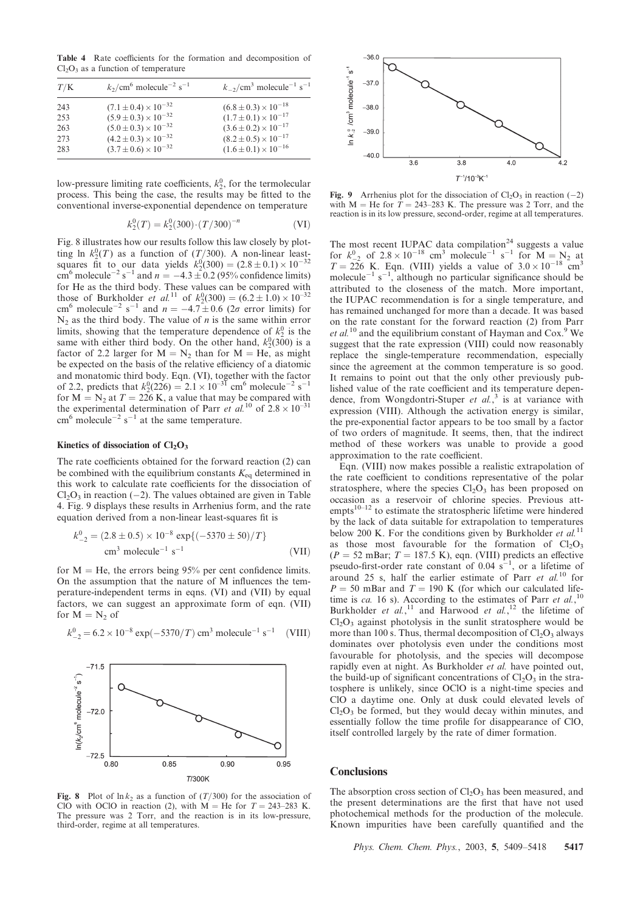Table 4 Rate coefficients for the formation and decomposition of  $Cl<sub>2</sub>O<sub>3</sub>$  as a function of temperature

| T/K                             | $k_2$ /cm <sup>6</sup> molecule <sup>-2</sup> s <sup>-1</sup>                                                                                                               | $k_{-2}/\text{cm}^3$ molecule <sup>-1</sup> s <sup>-1</sup>                                                                                                                 |
|---------------------------------|-----------------------------------------------------------------------------------------------------------------------------------------------------------------------------|-----------------------------------------------------------------------------------------------------------------------------------------------------------------------------|
| 243<br>253<br>263<br>273<br>283 | $(7.1 \pm 0.4) \times 10^{-32}$<br>$(5.9 \pm 0.3) \times 10^{-32}$<br>$(5.0 \pm 0.3) \times 10^{-32}$<br>$(4.2 \pm 0.3) \times 10^{-32}$<br>$(3.7 \pm 0.6) \times 10^{-32}$ | $(6.8 \pm 0.3) \times 10^{-18}$<br>$(1.7 \pm 0.1) \times 10^{-17}$<br>$(3.6 \pm 0.2) \times 10^{-17}$<br>$(8.2 \pm 0.5) \times 10^{-17}$<br>$(1.6 \pm 0.1) \times 10^{-16}$ |
|                                 |                                                                                                                                                                             |                                                                                                                                                                             |

low-pressure limiting rate coefficients,  $k_2^0$ , for the termolecular process. This being the case, the results may be fitted to the conventional inverse-exponential dependence on temperature

$$
k_2^0(T) = k_2^0(300) \cdot (T/300)^{-n}
$$
 (VI)

Fig. 8 illustrates how our results follow this law closely by plotting ln  $k_2^0(T)$  as a function of  $(T/300)$ . A non-linear leastsquares fit to our data yields  $k_2^0(300) = (2.8 \pm 0.1) \times 10^{-32}$ cm<sup>6</sup> molecule<sup>-2</sup> s<sup>-1</sup> and  $n = -4.3 \pm 0.2$  (95% confidence limits) for He as the third body. These values can be compared with those of Burkholder *et al.*<sup>11</sup> of  $k_2^0(300) = (6.2 \pm 1.0) \times 10^{-32}$ cm<sup>6</sup> molecule<sup>-2</sup> s<sup>-1</sup> and  $n = -4.7 \pm 0.6$  (2 $\sigma$  error limits) for  $N_2$  as the third body. The value of *n* is the same within error limits, showing that the temperature dependence of  $k_2^0$  is the same with either third body. On the other hand,  $k_2^0(300)$  is a factor of 2.2 larger for  $M = N_2$  than for  $M = He$ , as might be expected on the basis of the relative efficiency of a diatomic and monatomic third body. Eqn. (VI), together with the factor of 2.2, predicts that  $k_2^0(226) = 2.1 \times 10^{-31}$  cm<sup>6</sup> molecule<sup>-2</sup> s<sup>-1</sup> for  $M = N_2$  at  $T = 226$  K, a value that may be compared with the experimental determination of Parr et al.<sup>10</sup> of  $2.8 \times 10^{-31}$  $\text{cm}^6 \text{ molecule}^{-2} \text{ s}^{-1}$  at the same temperature.

## Kinetics of dissociation of  $Cl<sub>2</sub>O<sub>3</sub>$

The rate coefficients obtained for the forward reaction (2) can be combined with the equilibrium constants  $K_{eq}$  determined in this work to calculate rate coefficients for the dissociation of  $Cl<sub>2</sub>O<sub>3</sub>$  in reaction (-2). The values obtained are given in Table 4. Fig. 9 displays these results in Arrhenius form, and the rate equation derived from a non-linear least-squares fit is

$$
k_{-2}^{0} = (2.8 \pm 0.5) \times 10^{-8} \exp\{(-5370 \pm 50)/T\}
$$
  
cm<sup>3</sup> molecule<sup>-1</sup> s<sup>-1</sup> (VII)

for  $M = He$ , the errors being 95% per cent confidence limits. On the assumption that the nature of M influences the temperature-independent terms in eqns. (VI) and (VII) by equal factors, we can suggest an approximate form of eqn. (VII) for  $M = N_2$  of



 $k_{-2}^0 = 6.2 \times 10^{-8} \exp(-5370/T) \text{ cm}^3 \text{ molecule}^{-1} \text{ s}$  $(VIII)$ 

Fig. 8 Plot of  $\ln k_2$  as a function of  $(T/300)$  for the association of ClO with OClO in reaction (2), with  $M = He$  for  $T = 243-283$  K. The pressure was 2 Torr, and the reaction is in its low-pressure, third-order, regime at all temperatures.



Fig. 9 Arrhenius plot for the dissociation of  $Cl_2O_3$  in reaction (-2) with M = He for  $\hat{T} = 243-283$  K. The pressure was 2 Torr, and the reaction is in its low pressure, second-order, regime at all temperatures.

The most recent IUPAC data compilation<sup>24</sup> suggests a value for  $k_{-2}^0$  of  $2.8 \times 10^{-18}$  cm<sup>3</sup> molecule<sup>-1</sup> s<sup>-1</sup> for M = N<sub>2</sub> at  $T = 226$  K. Eqn. (VIII) yields a value of  $3.0 \times 10^{-18}$  cm<sup>3</sup> molecule<sup>-1</sup> s<sup>-1</sup>, although no particular significance should be attributed to the closeness of the match. More important, the IUPAC recommendation is for a single temperature, and has remained unchanged for more than a decade. It was based on the rate constant for the forward reaction (2) from Parr et  $al$ .<sup>10</sup> and the equilibrium constant of Hayman and Cox.<sup>9</sup> We suggest that the rate expression (VIII) could now reasonably replace the single-temperature recommendation, especially since the agreement at the common temperature is so good. It remains to point out that the only other previously published value of the rate coefficient and its temperature dependence, from Wongdontri-Stuper et al.,<sup>3</sup> is at variance with expression (VIII). Although the activation energy is similar, the pre-exponential factor appears to be too small by a factor of two orders of magnitude. It seems, then, that the indirect method of these workers was unable to provide a good approximation to the rate coefficient.

Eqn. (VIII) now makes possible a realistic extrapolation of the rate coefficient to conditions representative of the polar stratosphere, where the species  $Cl<sub>2</sub>O<sub>3</sub>$  has been proposed on occasion as a reservoir of chlorine species. Previous att $empts<sup>10–12</sup>$  to estimate the stratospheric lifetime were hindered by the lack of data suitable for extrapolation to temperatures below 200 K. For the conditions given by Burkholder et  $al$ .<sup>11</sup> as those most favourable for the formation of  $Cl_2O_3$  $(P = 52 \text{ mBar}; T = 187.5 \text{ K})$ , eqn. (VIII) predicts an effective pseudo-first-order rate constant of  $0.04 \text{ s}^{-1}$ , or a lifetime of around 25 s, half the earlier estimate of Parr et  $al$ <sup>10</sup> for  $P = 50$  mBar and  $T = 190$  K (for which our calculated lifetime is ca. 16 s). According to the estimates of Parr et al.,<sup>10</sup> Burkholder et al.,<sup>11</sup> and Harwood et al.,<sup>12</sup> the lifetime of  $Cl<sub>2</sub>O<sub>3</sub>$  against photolysis in the sunlit stratosphere would be more than 100 s. Thus, thermal decomposition of  $Cl<sub>2</sub>O<sub>3</sub>$  always dominates over photolysis even under the conditions most favourable for photolysis, and the species will decompose rapidly even at night. As Burkholder et al. have pointed out, the build-up of significant concentrations of  $Cl<sub>2</sub>O<sub>3</sub>$  in the stratosphere is unlikely, since OClO is a night-time species and ClO a daytime one. Only at dusk could elevated levels of  $Cl<sub>2</sub>O<sub>3</sub>$  be formed, but they would decay within minutes, and essentially follow the time profile for disappearance of ClO, itself controlled largely by the rate of dimer formation.

## **Conclusions**

The absorption cross section of  $Cl<sub>2</sub>O<sub>3</sub>$  has been measured, and the present determinations are the first that have not used photochemical methods for the production of the molecule. Known impurities have been carefully quantified and the